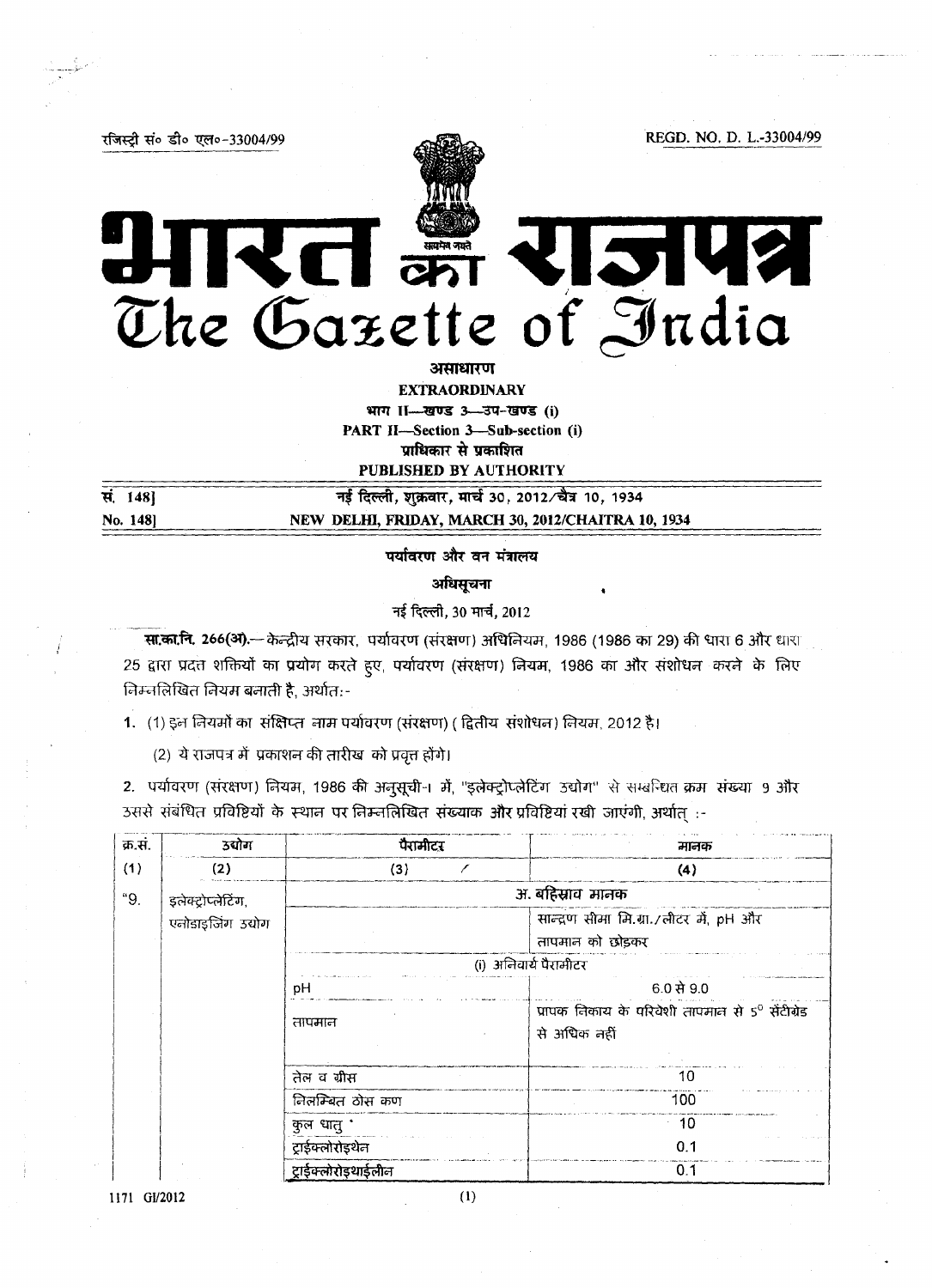रजिस्टी सं० डी० एल०-33004/99

REGD. NO. D. L.-33004/99

# REI EST RISTUS The Gazette of India

असाधारण **EXTRAORDINARY** भाग । - खण्ड 3-3प-खण्ड (i) PART II-Section 3-Sub-section (i) प्राधिकार से प्रकाशित **PUBLISHED BY AUTHORITY** 

सं. 148] No. 148]

नई दिल्ली, शुक्रवार, मार्च 30, 2012/चैत्र 10, 1934 NEW DELHI, FRIDAY, MARCH 30, 2012/CHAITRA 10, 1934

पर्यावरण और वन मंत्रालय

अधिसूचना

नई दिल्ली, 30 मार्च, 2012

सा.का.नि. 266(अ) .- केन्द्रीय सरकार, पर्यावरण (संरक्षण) अधिनियम, 1986 (1986 का 29) की धारा 6 और धारा 25 द्वारा प्रदत्त शक्तियों का प्रयोग करते हुए, पर्यावरण (संरक्षण) नियम, 1986 का और संशोधन करने के लिए निम्नलिखित नियम बनाती है, अर्थात:-

1. (1) इन नियमों का संक्षिप्त नाम पर्यावरण (संरक्षण) ( द्वितीय संशोधन) नियम, 2012 है।

(2) ये राजपत्र में प्रकाशन की तारीख को प्रवृत्त होंगे।

2. पर्यावरण (संरक्षण) नियम, 1986 की अनुसूची-1 में, "इलेक्ट्रोप्लेटिंग उद्योग" से सम्बन्धित क्रम संख्या 9 और उससे संबंधित प्रविष्टियों के स्थान पर निम्नलिखित संख्याक और प्रविष्टियां रखी जाएंगी, अर्थात :-

| क्र.सं.                   | <b>उद्योग</b>     | पैरामीटर              | मानक                                                        |  |
|---------------------------|-------------------|-----------------------|-------------------------------------------------------------|--|
| (1)                       | (2)               | (3)                   | (4)                                                         |  |
| "9.<br>इलेक्ट्रोप्लेटिंग, |                   |                       | अ. बहिस्राव मानक                                            |  |
|                           | एनोडाइजिंग उद्योग |                       | सान्द्रण सीमा मि.ग्रा./लीटर में, pH और                      |  |
|                           |                   |                       | तापमान को छोड़कर                                            |  |
|                           |                   | (i) अनिवार्य पैरामीटर |                                                             |  |
|                           |                   | рH                    | $6.0$ से 9.0                                                |  |
|                           |                   | तापमान                | प्रापक निकाय के परिवेशी तापमान से 5 <sup>0</sup> सेंटीग्रेड |  |
|                           |                   |                       | से अधिक नहीं                                                |  |
|                           |                   |                       |                                                             |  |
|                           |                   | तेल व ग्रीस           | 10                                                          |  |
|                           |                   | नितम्बित ठोस कण       | 100                                                         |  |
|                           |                   | कुल धातु '            | 10                                                          |  |
|                           |                   | ट्राईक्लोरोइथेन       | 0.1                                                         |  |
|                           |                   | टाईक्लोरोडथाईलीन      | 0.1                                                         |  |

1171 GI/2012

 $(1)$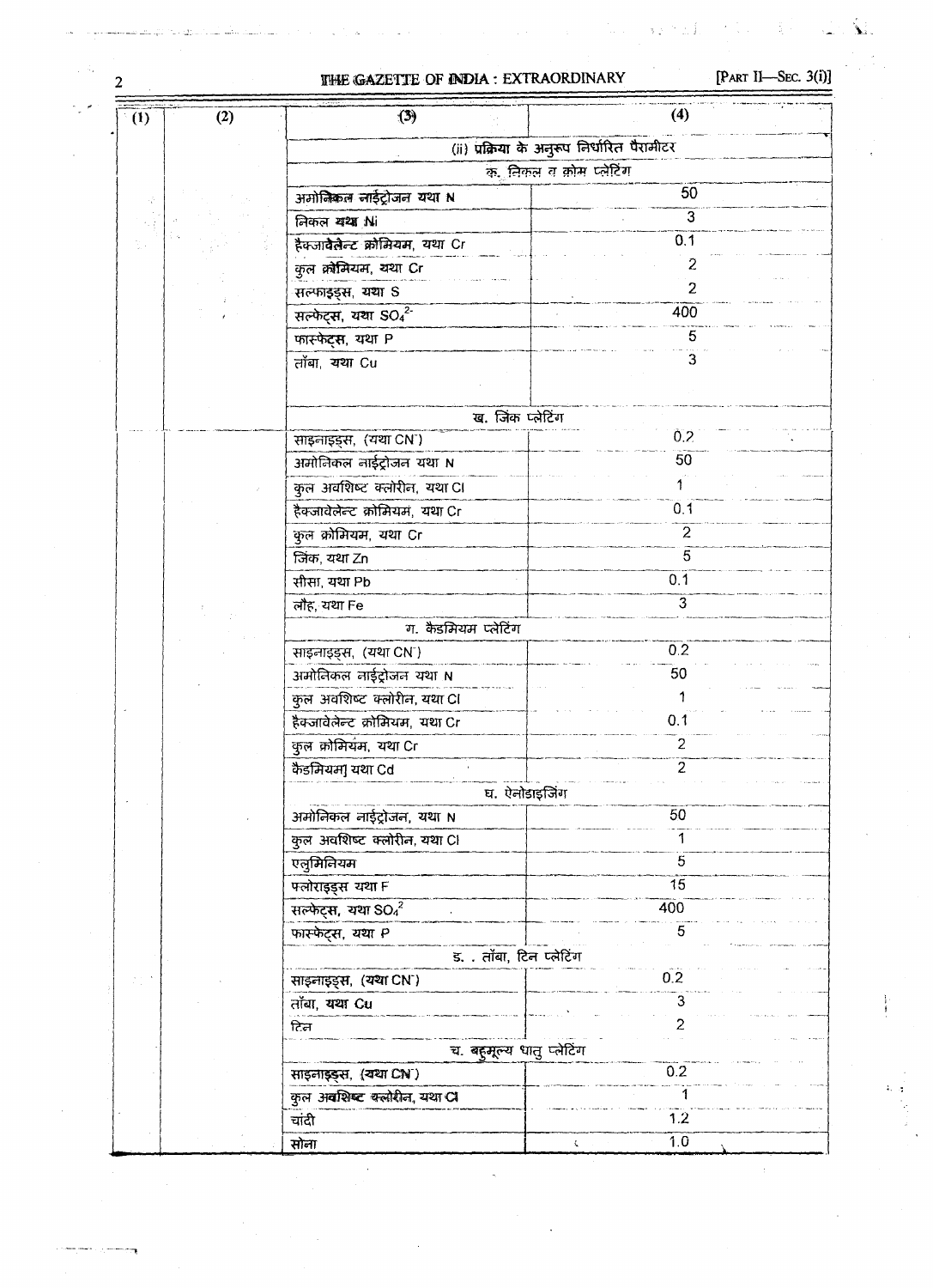### **THE GAZETTE OF INDIA: EXTRAORDINARY**

 $\overline{2}$ 

## [PART II-SEC.  $3(i)$ ]

高。

 $\mathbf{M}$  .

ί.

 $\epsilon$ 

 $\frac{1}{2}$  .)  $\gamma$  in  $\hat{\mathbf{i}}$ 

| (2)<br>(1) | (3)                                       | (4)                                         |
|------------|-------------------------------------------|---------------------------------------------|
|            |                                           | (ii) प्रक्रिया के अनुरूप निर्धारित पैरामीटर |
|            | क. निकल व क़ोम प्लेटिंग                   |                                             |
|            | अमोनिकल लाईट्रोजन यथा N                   | 50                                          |
|            | निकल यथा Ni                               | $\overline{3}$                              |
|            | हैकजा <b>वेलेल्ट क्रोमियम, यथा Cr</b>     | 0.1                                         |
|            | कुल क्रोमियम, यथा Cr                      | 2                                           |
|            | सल्फाइड्स, यथा S                          | $\overline{2}$                              |
|            | सल्फेट्स, यथा SO4 <sup>2-</sup>           | 400                                         |
|            | फास्फेट्स, यथा P                          | 5                                           |
|            | तॉबा, यथा Cu                              | З                                           |
|            | ख. जिंक प्लेटिंग                          |                                             |
|            | साइनाइड्स, (यथा CN <sup>-</sup> )         | 0.2                                         |
|            | अमोलिकल नाईट्रोजन यथा N                   | 50                                          |
|            | कुल अवशिष्ट क्लोरीन, यथा CI               |                                             |
|            | हैक्जावेलेन्ट क्रोमियम, यथा Cr            | 0.1                                         |
|            | कुल क्रोमियम, यथा Cr                      | $\overline{2}$                              |
|            | जिंक, यथा Zn                              | 5                                           |
|            | सीसा, यथा Pb                              | 0.1                                         |
|            | लौह, यथा Fe                               | 3                                           |
|            | ग. कैडमियम प्लेटिंग                       |                                             |
|            | साइनाइड्स, (यथा CN")                      | 0.2                                         |
|            | अमोलिकल नाईट्रोजन यथा N                   | 50                                          |
|            | कुल अवशिष्ट क्लोरीन, यथा Cl               |                                             |
|            | .<br>हैक्जावेलेन्ट क्रोमियम, यथा Cr       | 0.1                                         |
|            | कुल क्रोमियम, यथा Cr                      | $\overline{c}$                              |
|            | कैडमियम] यथा Cd                           | 2                                           |
|            |                                           |                                             |
|            | घ. ऐनोडाइजिंग<br>अमोनिकल नाईट्रोजन, यथा N | 50                                          |
|            |                                           |                                             |
|            | कुल अवशिष्ट क्लोरीन, यथा Cl               | 5                                           |
|            | एलुमिनियम                                 | 15                                          |
|            | फ्लोराइड्स यथा F                          |                                             |
|            | सल्फेट्स, यथा $SO42$                      | 400                                         |
|            | फ़ारफेट्स, यथा P                          |                                             |
|            | ड. . तॉबा, टिन प्लेटिंग                   |                                             |
|            | साइनाइड्स, (यथा CN <sup>-</sup> )         | 0.2                                         |
|            | तॉबा, यथा Cu                              |                                             |
|            | टिल                                       |                                             |
|            | च. बहुमूल्य धातु प्लेटिंग                 |                                             |
|            | साइनाइड्स, (यथा CN)                       | 0.2                                         |
|            | कुल अवशिष्ट क्लोरीन, यथा Cl               |                                             |
|            | चांदी                                     | 1.2                                         |
|            | सोना                                      | 1.0<br>Ç                                    |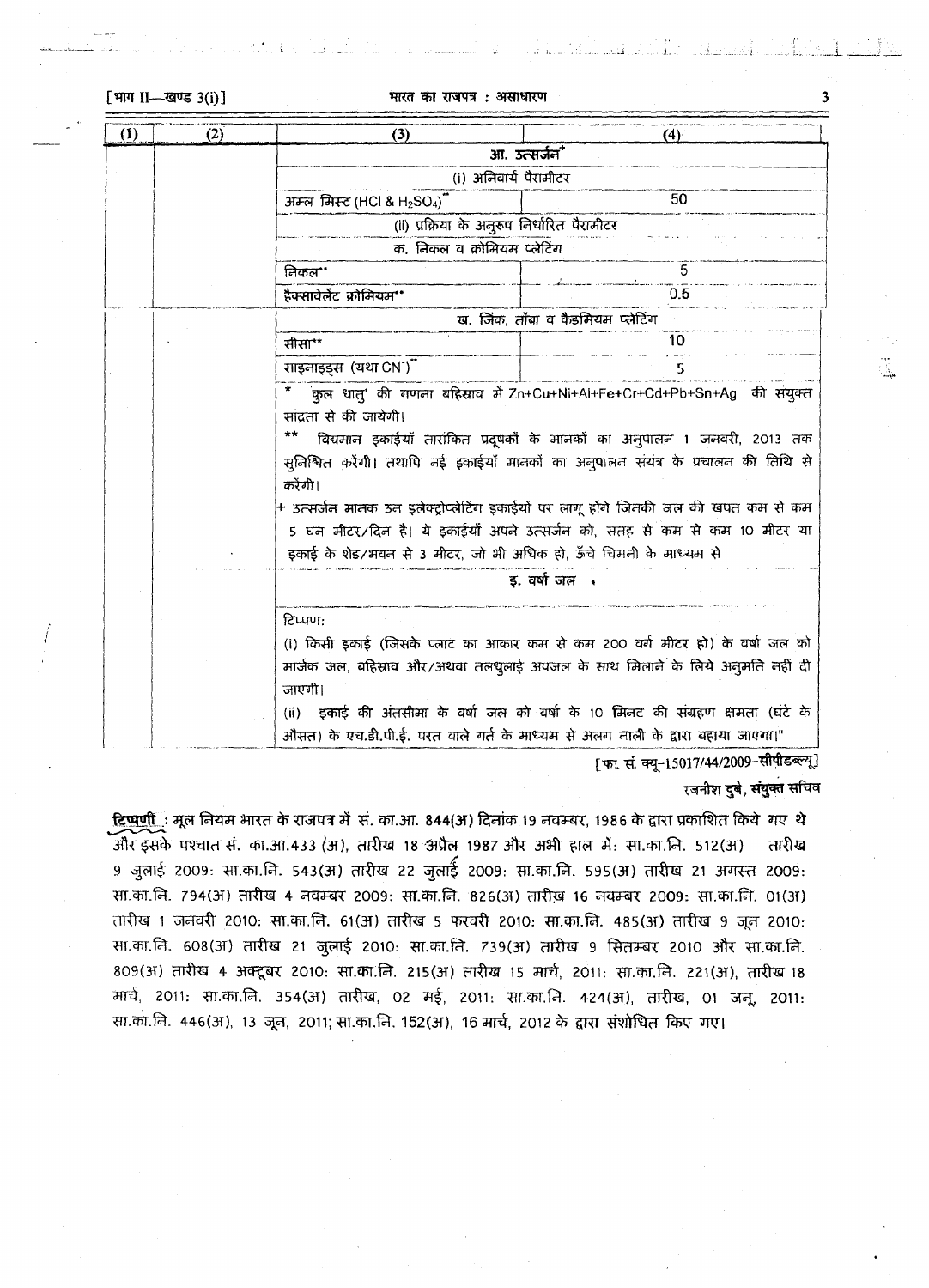[भाग II-खण्ड 3(i)]

| (1) | (2) | (3)                                                                                                                                                                                                                                                                                                                                                                                                                                                                                                                           | (4)                                                                                                                                                                                                                                                                                                                            |  |  |
|-----|-----|-------------------------------------------------------------------------------------------------------------------------------------------------------------------------------------------------------------------------------------------------------------------------------------------------------------------------------------------------------------------------------------------------------------------------------------------------------------------------------------------------------------------------------|--------------------------------------------------------------------------------------------------------------------------------------------------------------------------------------------------------------------------------------------------------------------------------------------------------------------------------|--|--|
|     |     | आ. उत्सर्जन"                                                                                                                                                                                                                                                                                                                                                                                                                                                                                                                  |                                                                                                                                                                                                                                                                                                                                |  |  |
|     |     | (i) अनिवार्य पैरामीटर                                                                                                                                                                                                                                                                                                                                                                                                                                                                                                         |                                                                                                                                                                                                                                                                                                                                |  |  |
|     |     | अम्ल मिस्ट (HCl & H <sub>2</sub> SO <sub>4</sub> )                                                                                                                                                                                                                                                                                                                                                                                                                                                                            | 50                                                                                                                                                                                                                                                                                                                             |  |  |
|     |     | (ii) प्रक्रिया के अनुरूप निर्धारित पैरामीटर                                                                                                                                                                                                                                                                                                                                                                                                                                                                                   |                                                                                                                                                                                                                                                                                                                                |  |  |
|     |     | क, निकल व क्रोमियम प्लेटिंग                                                                                                                                                                                                                                                                                                                                                                                                                                                                                                   |                                                                                                                                                                                                                                                                                                                                |  |  |
|     |     | निकल**                                                                                                                                                                                                                                                                                                                                                                                                                                                                                                                        | 5                                                                                                                                                                                                                                                                                                                              |  |  |
|     |     | हैक्सावेलेंट क्रोमियम**                                                                                                                                                                                                                                                                                                                                                                                                                                                                                                       | 0.5                                                                                                                                                                                                                                                                                                                            |  |  |
|     |     | ख. जिंक, तॉबा व कैडमियम प्लेटिंग                                                                                                                                                                                                                                                                                                                                                                                                                                                                                              |                                                                                                                                                                                                                                                                                                                                |  |  |
|     |     | सीसा**                                                                                                                                                                                                                                                                                                                                                                                                                                                                                                                        | 10                                                                                                                                                                                                                                                                                                                             |  |  |
|     |     | साइनाइड्स (यथा CN <sup>-</sup> )"                                                                                                                                                                                                                                                                                                                                                                                                                                                                                             | 5                                                                                                                                                                                                                                                                                                                              |  |  |
|     |     | कुल धातु' की गणना बहिसाव में Zn+Cu+Ni+Al+Fe+Cr+Cd+Pb+Sn+Ag की संयुक्त<br>सांदता से की जायेगी।<br>$***$<br>विद्यमान इकाईयाँ तारांकित प्रदूषकों के मानकों का अनुपालन 1 जनवरी, 2013 तक<br>सुनिश्चित करेंगी। तथापि नई इकाईयाँ मानकों का अनुपालन संयंत्र के प्रचालन की तिथि से<br>करेंगी।<br>+ उत्सर्जन मानक उन इलेक्ट्रोप्लेटिंग इकाईयों पर लागू होंगे जिनकी जल की खपत कम से कम<br>5 घन मीटर/दिन है। ये इकाईयों अपने उत्सर्जन को, सतह से कम से कम 10 मीटर या<br>इकाई के शेड/भवन से 3 मीटर, जो भी अधिक हो, ऊँचे चिमनी के माध्यम से |                                                                                                                                                                                                                                                                                                                                |  |  |
|     |     | इ. वर्षा जल .                                                                                                                                                                                                                                                                                                                                                                                                                                                                                                                 |                                                                                                                                                                                                                                                                                                                                |  |  |
|     |     | टिप्पण:<br>जाएगी।<br>(ii)                                                                                                                                                                                                                                                                                                                                                                                                                                                                                                     | (i) किसी इकाई (जिसके प्लाट का आकार कम से कम 200 वर्ग मीटर हो) के वर्षा जल को<br>मार्जक जल, बहिस्राव और/अथवा तलपुलाई अपजल के साथ मिलाने के लिये अनुमति नहीं दी<br>इकाई की अंतसीमा के वर्षा जल को वर्षा के 10 मिनट की संग्रहण क्षमता (घंटे के<br>,औसत) के एच.डी.पी.ई. परत वाले गर्त के माध्यम से अलग नाली के द्वारा बहाया जाएगा। |  |  |

[फा. सं. क्यू-15017/44/2009-सीपीडब्ल्यू]

#### रजनीश दुबे, संयुक्त सचिव

<u>दिष्पर्णी</u>: मूल नियम भारत के राजपत्र में सं. का.आ. 844(अ) दिनांक 19 नवम्बर, 1986 के द्वारा प्रकाशित किये गए थे .<br>और इसके पश्चात सं. का.आ.433 (अ), तारीख 18 अप्रैल 1987 और अभी हाल में: सा.का.नि. 512(अ) तारीख 9 जुलाई 2009: सा.का.नि. 543(अ) तारीख 22 जुलाई 2009: सा.का.नि. 595(अ) तारीख 21 अगस्त 2009: सा.का.नि. 794(अ) तारीख 4 नवम्बर 2009: सा.का.नि. 826(अ) तारीख़ 16 नवम्बर 2009: सा.का.नि. 01(अ) तारीख 1 जनवरी 2010: सा.का.नि. 61(अ) तारीख 5 फरवरी 2010: सा.का.नि. 485(अ) तारीख 9 जून 2010: सा.का.नि. 608(अ) तारीख 21 जुलाई 2010: सा.का.नि. 739(अ) तारीख 9 सितम्बर 2010 और सा.का.नि. 809(अ) तारीख 4 अक्टूबर 2010: सा.का.नि. 215(अ) तारीख 15 मार्च, 2011: सा.का.नि. 221(अ), तारीख 18 मार्च, 2011: सा.का.नि. 354(अ) तारीख, 02 मई, 2011: सा.का.नि. 424(अ), तारीख, 01 जनू, 2011: सा.का.नि. 446(अ), 13 जून, 2011; सा.का.नि. 152(अ), 16 मार्च, 2012 के द्वारा संशोधित किए गए।

 $\overline{\mathbf{3}}$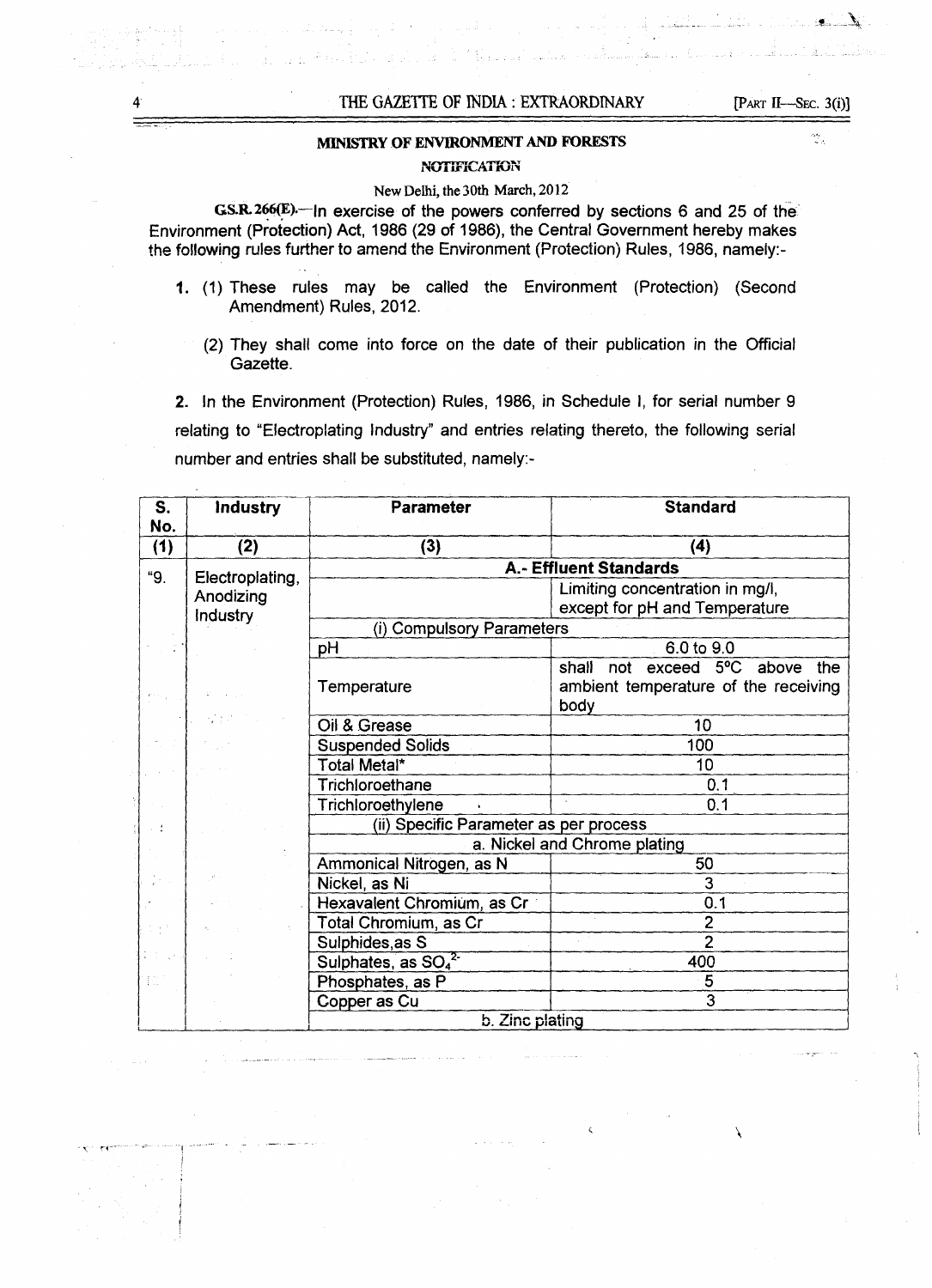Ý.

\,

#### MINISTRY OF ENVIRONMENT AND FORESTS

#### NOTIFICATION

#### New Delhi, the 30th March,2012

GS.R. 266(E)—In exercise of the powers conferred by sections 6 and 25 of the Environment (Protection) Act, 1986 (29 of 1986), the Central Government hereby makes the following rules further to amend the Environment (Protection) Rules, 1986, namely:-

- 1. (1) These rules may be called the Environment (Protection) (Second Amendment) Rules, 2012.
	- (2) They shall come into force on the date of their publication in the Official Gazette.

2. In the Environment (Protection) Rules, 1986, in Schedule I, for serial number 9 relating to "Electroplating Industry" and entries relating thereto, the following serial number and entries shall be substituted, namely:-

| S.<br>No. | <b>Industry</b> | <b>Parameter</b>                           | <b>Standard</b>                              |
|-----------|-----------------|--------------------------------------------|----------------------------------------------|
| (1)       | (2)             | (3)                                        | (4)                                          |
| "9.       | Electroplating, |                                            | A.- Effluent Standards                       |
|           | Anodizing       |                                            | Limiting concentration in mg/l,              |
|           | <b>Industry</b> |                                            | except for pH and Temperature                |
|           |                 | (i) Compulsory Parameters                  |                                              |
|           |                 | pH                                         | 6.0 to 9.0                                   |
|           |                 |                                            | exceed 5°C above<br>shall<br>the<br>not      |
|           |                 | Temperature                                | ambient temperature of the receiving<br>body |
|           |                 | Oil & Grease                               | 10                                           |
|           |                 | <b>Suspended Solids</b>                    | 100                                          |
|           |                 | Total Metal*                               | 10                                           |
|           |                 | Trichloroethane                            | 0.1                                          |
|           |                 | Trichloroethylene                          | 0.1                                          |
|           |                 | (ii) Specific Parameter as per process     |                                              |
|           |                 | a. Nickel and Chrome plating               |                                              |
|           |                 | Ammonical Nitrogen, as N                   | 50                                           |
|           |                 | Nickel, as Ni                              | 3                                            |
|           |                 | Hexavalent Chromium, as Cr                 | 0.1                                          |
|           |                 | Total Chromium, as Cr                      | $\mathbf{2}$                                 |
|           |                 | Sulphides, as S                            | $\overline{2}$                               |
|           |                 | Sulphates, as SO <sub>4</sub> <sup>2</sup> | 400                                          |
| 拉         |                 | Phosphates, as P                           | 5                                            |
|           |                 | Copper as Cu                               | 3                                            |
|           |                 | b. Zinc plating                            |                                              |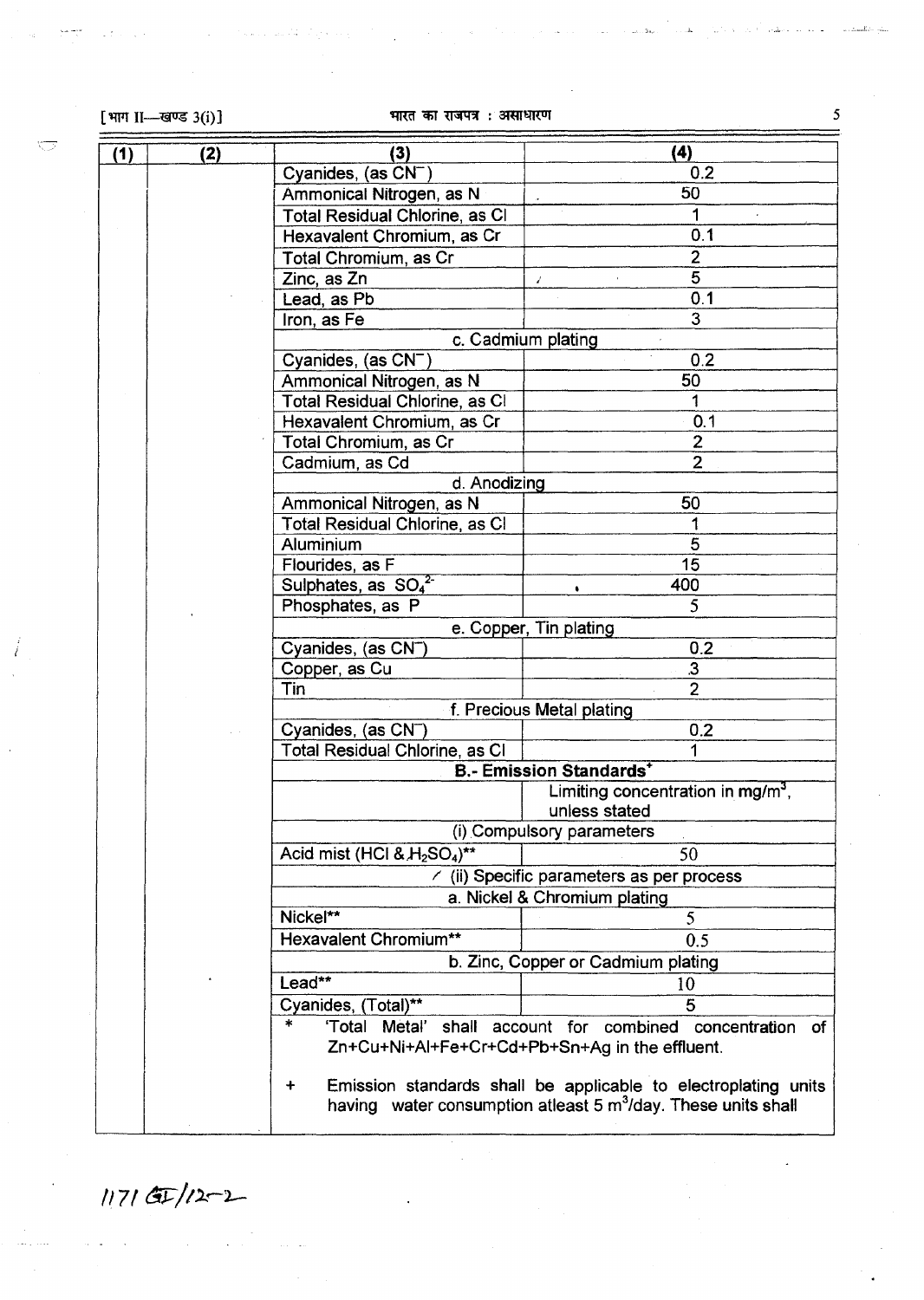$\overline{\sqrt{2}}$ 

Ï

И.

# $[$ भाग II—खण्ड 3(i)]  $[$ भारत का राजपत्र : असाधारण 5

bili ili.

| (1)                                              | (2)                                                                          | (3)                                                                         | (4)                                                                       |  |
|--------------------------------------------------|------------------------------------------------------------------------------|-----------------------------------------------------------------------------|---------------------------------------------------------------------------|--|
|                                                  |                                                                              | Cyanides, (as CN <sup>-</sup> )                                             | 0.2                                                                       |  |
|                                                  |                                                                              | Ammonical Nitrogen, as N                                                    | 50                                                                        |  |
|                                                  |                                                                              | Total Residual Chlorine, as CI                                              | 1                                                                         |  |
|                                                  |                                                                              | Hexavalent Chromium, as Cr                                                  | 0.1                                                                       |  |
|                                                  |                                                                              | Total Chromium, as Cr                                                       | $\overline{2}$                                                            |  |
|                                                  |                                                                              | Zinc, as Zn                                                                 | 5<br>$\mathbf{z}^{\prime}$                                                |  |
|                                                  |                                                                              | Lead, as Pb                                                                 | 0.1                                                                       |  |
|                                                  |                                                                              | Iron, as Fe                                                                 | $\overline{3}$                                                            |  |
|                                                  |                                                                              |                                                                             | c. Cadmium plating                                                        |  |
|                                                  |                                                                              | Cyanides, (as $CN^{-}$ )                                                    | 0.2                                                                       |  |
|                                                  |                                                                              | Ammonical Nitrogen, as N                                                    | 50                                                                        |  |
|                                                  |                                                                              | Total Residual Chlorine, as Cl                                              | 1                                                                         |  |
|                                                  |                                                                              | Hexavalent Chromium, as Cr                                                  | 0.1                                                                       |  |
|                                                  |                                                                              | Total Chromium, as Cr                                                       | $\overline{2}$                                                            |  |
|                                                  |                                                                              | Cadmium, as Cd                                                              | $\overline{2}$                                                            |  |
|                                                  |                                                                              | d. Anodizing                                                                |                                                                           |  |
|                                                  |                                                                              | Ammonical Nitrogen, as N                                                    | 50                                                                        |  |
|                                                  |                                                                              | Total Residual Chlorine, as Cl                                              |                                                                           |  |
|                                                  |                                                                              | Aluminium                                                                   | 5                                                                         |  |
|                                                  |                                                                              | Flourides, as F                                                             | 15                                                                        |  |
|                                                  |                                                                              | Sulphates, as $SO_4^2$                                                      | 400                                                                       |  |
|                                                  |                                                                              | Phosphates, as P                                                            | 5                                                                         |  |
|                                                  |                                                                              |                                                                             | e. Copper, Tin plating                                                    |  |
|                                                  |                                                                              | Cyanides, (as CN <sup>-</sup> )                                             | 0.2                                                                       |  |
|                                                  |                                                                              | Copper, as Cu                                                               | $\overline{\mathbf{3}}$                                                   |  |
|                                                  |                                                                              | Tin                                                                         | $\overline{2}$                                                            |  |
|                                                  |                                                                              |                                                                             | f. Precious Metal plating                                                 |  |
|                                                  |                                                                              | Cyanides, (as CN <sup>-</sup> )                                             | 0.2                                                                       |  |
|                                                  |                                                                              | <b>Total Residual Chlorine, as CI</b>                                       | 1                                                                         |  |
|                                                  |                                                                              |                                                                             | <b>B.- Emission Standards</b>                                             |  |
|                                                  |                                                                              |                                                                             | Limiting concentration in mg/m <sup>3</sup> ,                             |  |
|                                                  |                                                                              |                                                                             | unless stated                                                             |  |
|                                                  |                                                                              |                                                                             | (i) Compulsory parameters                                                 |  |
|                                                  |                                                                              | Acid mist (HCl $8. H_2SO_4$ )**                                             | 50                                                                        |  |
| $\angle$ (ii) Specific parameters as per process |                                                                              |                                                                             |                                                                           |  |
|                                                  |                                                                              |                                                                             | a. Nickel & Chromium plating                                              |  |
|                                                  |                                                                              | Nickel**                                                                    | 5                                                                         |  |
|                                                  |                                                                              | Hexavalent Chromium**                                                       | 0.5                                                                       |  |
|                                                  | b. Zinc, Copper or Cadmium plating                                           |                                                                             |                                                                           |  |
|                                                  |                                                                              | Lead**                                                                      | 10                                                                        |  |
|                                                  |                                                                              | Cyanides, (Total)**                                                         | 5                                                                         |  |
|                                                  | $\ast$<br>'Total<br>shall account for<br>combined<br>Metal'<br>concentration |                                                                             |                                                                           |  |
|                                                  |                                                                              | 0f<br>Zn+Cu+Ni+Al+Fe+Cr+Cd+Pb+Sn+Ag in the effluent.                        |                                                                           |  |
|                                                  |                                                                              | Emission standards shall be applicable to electroplating units<br>$\ddot{}$ |                                                                           |  |
|                                                  |                                                                              |                                                                             | having water consumption atleast 5 m <sup>3</sup> /day. These units shall |  |
|                                                  |                                                                              |                                                                             |                                                                           |  |

 $1171$   $\times$   $12 - 2$